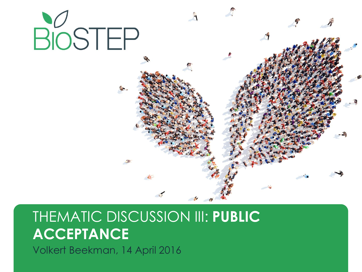

# THEMATIC DISCUSSION III: **PUBLIC ACCEPTANCE**

Volkert Beekman, 14 April 2016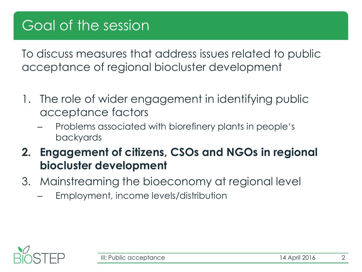To discuss measures that address issues related to public acceptance of regional biocluster development

- 1. The role of wider engagement in identifying public acceptance factors
	- Problems associated with biorefinery plants in people's backyards
- **2. Engagement of citizens, CSOs and NGOs in regional biocluster development**
- 3. Mainstreaming the bioeconomy at regional level
	- Employment, income levels/distribution

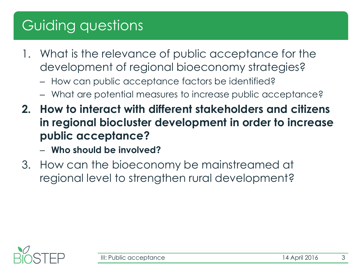# Guiding questions

- 1. What is the relevance of public acceptance for the development of regional bioeconomy strategies?
	- How can public acceptance factors be identified?
	- What are potential measures to increase public acceptance?
- **2. How to interact with different stakeholders and citizens in regional biocluster development in order to increase public acceptance?**
	- **Who should be involved?**
- 3. How can the bioeconomy be mainstreamed at regional level to strengthen rural development?

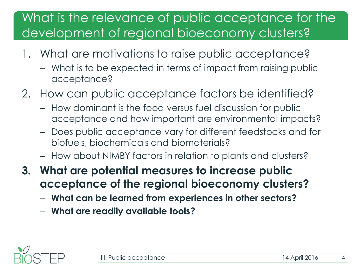#### What is the relevance of public acceptance for the development of regional bioeconomy clusters?

- 1. What are motivations to raise public acceptance?
	- What is to be expected in terms of impact from raising public acceptance?
- 2. How can public acceptance factors be identified?
	- How dominant is the food versus fuel discussion for public acceptance and how important are environmental impacts?
	- Does public acceptance vary for different feedstocks and for biofuels, biochemicals and biomaterials?
	- How about NIMBY factors in relation to plants and clusters?
- **3. What are potential measures to increase public acceptance of the regional bioeconomy clusters?**
	- **What can be learned from experiences in other sectors?**
	- **What are readily available tools?**

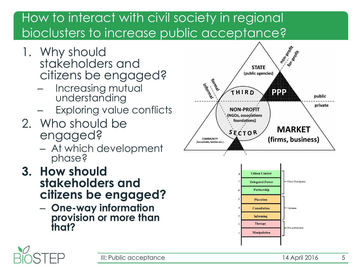### How to interact with civil society in regional bioclusters to increase public acceptance?

- 1. Why should stakeholders and citizens be engaged?
	- Increasing mutual understanding
	- Exploring value conflicts
- 2. Who should be engaged?
	- At which development phase?
- **3. How should stakeholders and citizens be engaged?**
	- **One-way information provision or more than that?**





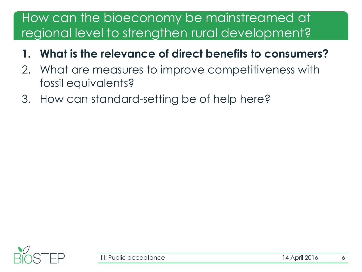#### How can the bioeconomy be mainstreamed at regional level to strengthen rural development?

- **1. What is the relevance of direct benefits to consumers?**
- 2. What are measures to improve competitiveness with fossil equivalents?
- 3. How can standard-setting be of help here?